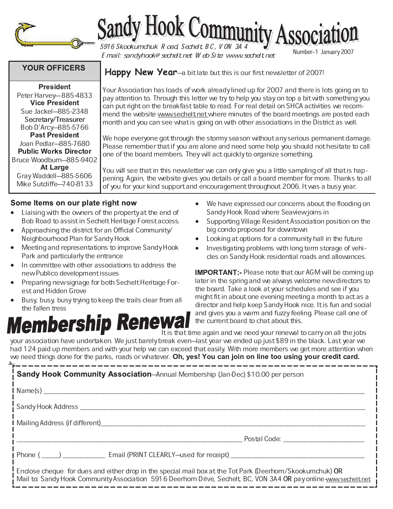

# Sandy Hook Community Associ

**Happy New Year**—a bit late but this is our first newsletter of 2007!

Email: sandyhook@sechelt.net Web Site: www.sechelt.net

Number±1 January 2007

## **YOUR OFFICERS**

 - - Peter Harvey-885-4833 - - Sue Jackel-885-2348 Secretary/Treasurer Bob D'Arcy-885-5766 - - Joan Pedlar-885-7680 **Public Works Director** Bruce Woodburn-885-9402 Gray Waddell-885-5606 Mike Sutcliffe-740-8133

Some Items on our plate right now

- Liaising with the owners of the property at the end of Bob Road to assist in Sechelt Heritage Forest access.
- Approaching the district for an Official Community/ Neighbourhood Plan for Sandy Hook
- Meeting and representations to improve Sandy Hook Park and particularly the entrance
- In committee with other associations to address the new Publico development issues
- Preparing new signage for both Sechelt Heritage Forest and Hidden Grove
- Busy, busy, busy trying to keep the trails clear from all

## the fallen tress<br>**embership Renewa**

can put right on the breakfast table to read. For real detail on SHCA activities we recommend the website www.sechelt.net where minutes of the board meetings are posted each

We hope everyone got through the stormy season without any serious permanent damage. Please remember that if you are alone and need some help you should not hesitate to call one of the board members. They will act quickly to organize something.

Your Association has loads of work already lined up for 2007 and there is lots going on to pay attention to. Through this letter we try to help you stay on top a bit with something you

month and you can see what is going on with other associations in the District as well.

You will see that in this newsletter we can only give you a little sampling of all that is happening. Again, the website gives you details or call a board member for more. Thanks to all of you for your kind support and encouragement throughout 2006. It was a busy year.

- We have expressed our concerns about the flooding on Sandy Hook Road where Seaview joins in
- Supporting Village Resident Association position on the big condo proposed for downtown
- Looking at options for a community hall in the future
- Investigating problems with long term storage of vehicles on Sandy Hook residential roads and allowances.

**IMPORTANT:-** Please note that our AGM will be coming up later in the spring and we always welcome new directors to the board. Take a look at your schedules and see if you might fit in about one evening meeting a month to act as a director and help keep Sandy Hook nice. It is fun and social and gives you a warm and fuzzy feeling. Please call one of the current board to chat about this.

 It is that time again and we need your renewal to carry on all the jobs your association have undertaken. We just barely break even–last year we ended up just \$89 in the black. Last year we had 124 paid up members and with your help we can exceed that easily. With more members we get more attention when we need things done for the parks, roads or whatever. **Oh, yes! You can join on line too using your credit card** 

| <b>Sandy Hook Community Association</b> —Annual Membership (Jan-Dec) \$10.00 per person                                                                                                                                        |
|--------------------------------------------------------------------------------------------------------------------------------------------------------------------------------------------------------------------------------|
|                                                                                                                                                                                                                                |
| Sandy Hook Address __________                                                                                                                                                                                                  |
| Mailing Address (if different)                                                                                                                                                                                                 |
| Postal Code: The Code of the Code of the Code of the Code of the Code of the Code of the Code of the Code of the Code of the Code of the Code of the Code of the Code of the Code of the Code of the Code of the Code of the C |
|                                                                                                                                                                                                                                |
| Enclose cheque for dues and either drop in the special mail box at the Tot Park (Deerhom/Skookumchuk) OR<br>Mail to: Sandy Hook Community Association 5916 Deerhom Drive, Sechelt, BC, VON 3A4 OR pay online www.sechelt.net   |